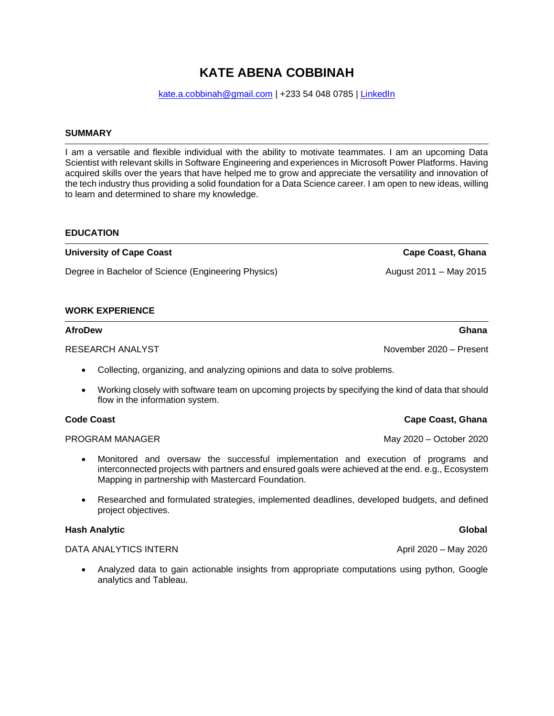# **KATE ABENA COBBINAH**

[kate.a.cobbinah@gmail.com](mailto:kate.a.cobbinah@gmail.com) | +233 54 048 0785 | [LinkedIn](file:///C:/Users/Kay-Cobb/Desktop/linkedin.com/in/kate-abena-cobbinah)

### **SUMMARY**

I am a versatile and flexible individual with the ability to motivate teammates. I am an upcoming Data Scientist with relevant skills in Software Engineering and experiences in Microsoft Power Platforms. Having acquired skills over the years that have helped me to grow and appreciate the versatility and innovation of the tech industry thus providing a solid foundation for a Data Science career. I am open to new ideas, willing to learn and determined to share my knowledge.

#### **EDUCATION**

Degree in Bachelor of Science (Engineering Physics) The Contract 2011 – May 2015

### **WORK EXPERIENCE**

### **AfroDew Ghana**

RESEARCH ANALYST November 2020 – Present

- Collecting, organizing, and analyzing opinions and data to solve problems.
- Working closely with software team on upcoming projects by specifying the kind of data that should flow in the information system.

- Monitored and oversaw the successful implementation and execution of programs and interconnected projects with partners and ensured goals were achieved at the end. e.g., Ecosystem Mapping in partnership with Mastercard Foundation.
- Researched and formulated strategies, implemented deadlines, developed budgets, and defined project objectives.

### **Hash Analytic Global**

### DATA ANALYTICS INTERN April 2020 – May 2020

• Analyzed data to gain actionable insights from appropriate computations using python, Google analytics and Tableau.

### **Code Coast Cape Coast Cape Coast, Ghana**

PROGRAM MANAGER May 2020 – October 2020

**University of Cape Coast Cape Coast, Ghana**